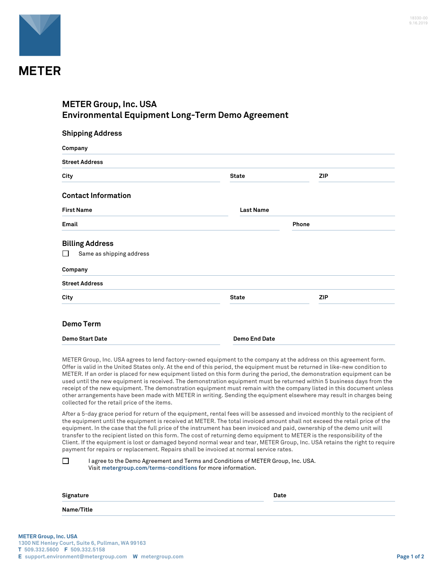

## **METER Group, Inc. USA Environmental Equipment Long-Term Demo Agreement**

| <b>Shipping Address</b><br>Company |                      |            |  |  |
|------------------------------------|----------------------|------------|--|--|
|                                    |                      |            |  |  |
| City                               | <b>State</b>         | <b>ZIP</b> |  |  |
| <b>Contact Information</b>         |                      |            |  |  |
| <b>First Name</b>                  | <b>Last Name</b>     |            |  |  |
| Email                              | Phone                |            |  |  |
| <b>Billing Address</b>             |                      |            |  |  |
| Same as shipping address<br>l l    |                      |            |  |  |
| Company                            |                      |            |  |  |
| <b>Street Address</b>              |                      |            |  |  |
| City                               | <b>State</b>         | <b>ZIP</b> |  |  |
| <b>Demo Term</b>                   |                      |            |  |  |
| <b>Demo Start Date</b>             | <b>Demo End Date</b> |            |  |  |

METER Group, Inc. USA agrees to lend factory-owned equipment to the company at the address on this agreement form. Offer is valid in the United States only. At the end of this period, the equipment must be returned in like-new condition to METER. If an order is placed for new equipment listed on this form during the period, the demonstration equipment can be used until the new equipment is received. The demonstration equipment must be returned within 5 business days from the receipt of the new equipment. The demonstration equipment must remain with the company listed in this document unless other arrangements have been made with METER in writing. Sending the equipment elsewhere may result in charges being collected for the retail price of the items.

After a 5-day grace period for return of the equipment, rental fees will be assessed and invoiced monthly to the recipient of the equipment until the equipment is received at METER. The total invoiced amount shall not exceed the retail price of the equipment. In the case that the full price of the instrument has been invoiced and paid, ownership of the demo unit will transfer to the recipient listed on this form. The cost of returning demo equipment to METER is the responsibility of the Client. If the equipment is lost or damaged beyond normal wear and tear, METER Group, Inc. USA retains the right to require payment for repairs or replacement. Repairs shall be invoiced at normal service rates.

| $\sim$ | I agree to the Demo Agreement and Terms and Conditions of METER Group, Inc. USA. |
|--------|----------------------------------------------------------------------------------|
|        | Visit metergroup.com/terms-conditions for more information.                      |

| Signature  | <b>Date</b> |
|------------|-------------|
| Name/Title |             |